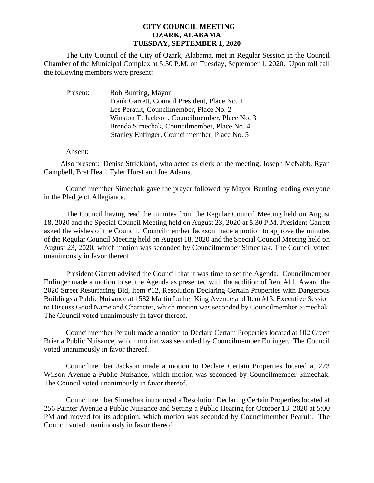## **CITY COUNCIL MEETING OZARK, ALABAMA TUESDAY, SEPTEMBER 1, 2020**

The City Council of the City of Ozark, Alabama, met in Regular Session in the Council Chamber of the Municipal Complex at 5:30 P.M. on Tuesday, September 1, 2020. Upon roll call the following members were present:

| Present: | <b>Bob Bunting, Mayor</b>                      |
|----------|------------------------------------------------|
|          | Frank Garrett, Council President, Place No. 1  |
|          | Les Perault, Councilmember, Place No. 2        |
|          | Winston T. Jackson, Councilmember, Place No. 3 |
|          | Brenda Simechak, Councilmember, Place No. 4    |
|          | Stanley Enfinger, Councilmember, Place No. 5   |

Absent:

Also present: Denise Strickland, who acted as clerk of the meeting, Joseph McNabb, Ryan Campbell, Bret Head, Tyler Hurst and Joe Adams.

Councilmember Simechak gave the prayer followed by Mayor Bunting leading everyone in the Pledge of Allegiance.

The Council having read the minutes from the Regular Council Meeting held on August 18, 2020 and the Special Council Meeting held on August 23, 2020 at 5:30 P.M. President Garrett asked the wishes of the Council. Councilmember Jackson made a motion to approve the minutes of the Regular Council Meeting held on August 18, 2020 and the Special Council Meeting held on August 23, 2020, which motion was seconded by Councilmember Simechak. The Council voted unanimously in favor thereof.

President Garrett advised the Council that it was time to set the Agenda. Councilmember Enfinger made a motion to set the Agenda as presented with the addition of Item #11, Award the 2020 Street Resurfacing Bid, Item #12, Resolution Declaring Certain Properties with Dangerous Buildings a Public Nuisance at 1582 Martin Luther King Avenue and Item #13, Executive Session to Discuss Good Name and Character, which motion was seconded by Councilmember Simechak. The Council voted unanimously in favor thereof.

Councilmember Perault made a motion to Declare Certain Properties located at 102 Green Brier a Public Nuisance, which motion was seconded by Councilmember Enfinger. The Council voted unanimously in favor thereof.

Councilmember Jackson made a motion to Declare Certain Properties located at 273 Wilson Avenue a Public Nuisance, which motion was seconded by Councilmember Simechak. The Council voted unanimously in favor thereof.

Councilmember Simechak introduced a Resolution Declaring Certain Properties located at 256 Painter Avenue a Public Nuisance and Setting a Public Hearing for October 13, 2020 at 5:00 PM and moved for its adoption, which motion was seconded by Councilmember Pearult. The Council voted unanimously in favor thereof.